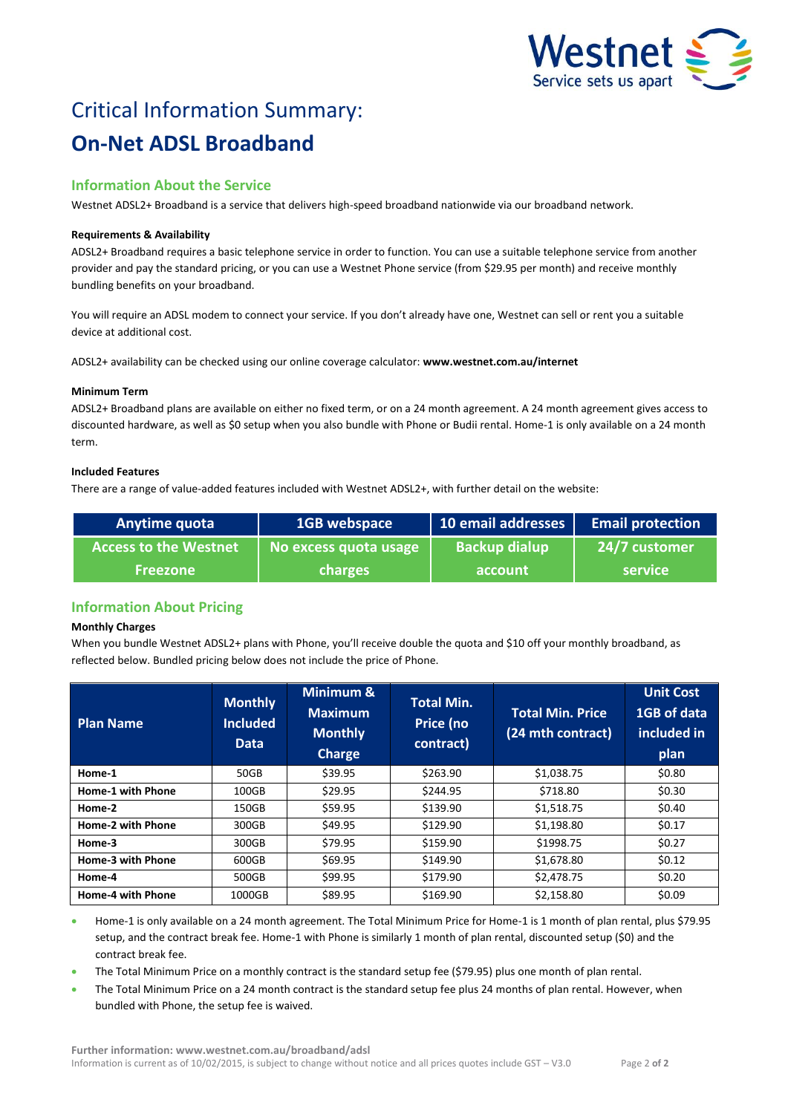

# Critical Information Summary: **On-Net ADSL Broadband**

# **Information About the Service**

Westnet ADSL2+ Broadband is a service that delivers high-speed broadband nationwide via our broadband network.

## **Requirements & Availability**

ADSL2+ Broadband requires a basic telephone service in order to function. You can use a suitable telephone service from another provider and pay the standard pricing, or you can use a Westnet Phone service (from \$29.95 per month) and receive monthly bundling benefits on your broadband.

You will require an ADSL modem to connect your service. If you don't already have one, Westnet can sell or rent you a suitable device at additional cost.

ADSL2+ availability can be checked using our online coverage calculator: **www.westnet.com.au/internet**

## **Minimum Term**

ADSL2+ Broadband plans are available on either no fixed term, or on a 24 month agreement. A 24 month agreement gives access to discounted hardware, as well as \$0 setup when you also bundle with Phone or Budii rental. Home-1 is only available on a 24 month term.

# **Included Features**

There are a range of value-added features included with Westnet ADSL2+, with further detail on the website:

| Anytime quota                | 1GB webspace          | 10 email addresses   | <b>Email protection</b> |
|------------------------------|-----------------------|----------------------|-------------------------|
| <b>Access to the Westnet</b> | No excess quota usage | <b>Backup dialup</b> | 24/7 customer           |
| <b>Freezone</b>              | <b>charges</b>        | account              | <b>service</b>          |

# **Information About Pricing**

#### **Monthly Charges**

When you bundle Westnet ADSL2+ plans with Phone, you'll receive double the quota and \$10 off your monthly broadband, as reflected below. Bundled pricing below does not include the price of Phone.

| <b>Plan Name</b>         | <b>Monthly</b><br><b>Included</b><br><b>Data</b> | Minimum &<br><b>Maximum</b><br><b>Monthly</b><br><b>Charge</b> | <b>Total Min.</b><br>Price (no<br>contract) | <b>Total Min. Price</b><br>(24 mth contract) | <b>Unit Cost</b><br>1GB of data<br>included in<br>plan |
|--------------------------|--------------------------------------------------|----------------------------------------------------------------|---------------------------------------------|----------------------------------------------|--------------------------------------------------------|
| Home-1                   | 50GB                                             | \$39.95                                                        | \$263.90                                    | \$1,038.75                                   | \$0.80                                                 |
| <b>Home-1 with Phone</b> | 100GB                                            | \$29.95                                                        | \$244.95                                    | \$718.80                                     | \$0.30                                                 |
| Home-2                   | 150GB                                            | \$59.95                                                        | \$139.90                                    | \$1,518.75                                   | \$0.40                                                 |
| Home-2 with Phone        | 300GB                                            | \$49.95                                                        | \$129.90                                    | \$1,198.80                                   | \$0.17                                                 |
| Home-3                   | 300GB                                            | \$79.95                                                        | \$159.90                                    | \$1998.75                                    | \$0.27                                                 |
| Home-3 with Phone        | 600GB                                            | \$69.95                                                        | \$149.90                                    | \$1,678.80                                   | \$0.12                                                 |
| Home-4                   | 500GB                                            | \$99.95                                                        | \$179.90                                    | \$2,478.75                                   | \$0.20                                                 |
| <b>Home-4 with Phone</b> | 1000GB                                           | \$89.95                                                        | \$169.90                                    | \$2,158.80                                   | \$0.09                                                 |

 Home-1 is only available on a 24 month agreement. The Total Minimum Price for Home-1 is 1 month of plan rental, plus \$79.95 setup, and the contract break fee. Home-1 with Phone is similarly 1 month of plan rental, discounted setup (\$0) and the contract break fee.

- The Total Minimum Price on a monthly contract is the standard setup fee (\$79.95) plus one month of plan rental.
- The Total Minimum Price on a 24 month contract is the standard setup fee plus 24 months of plan rental. However, when bundled with Phone, the setup fee is waived.